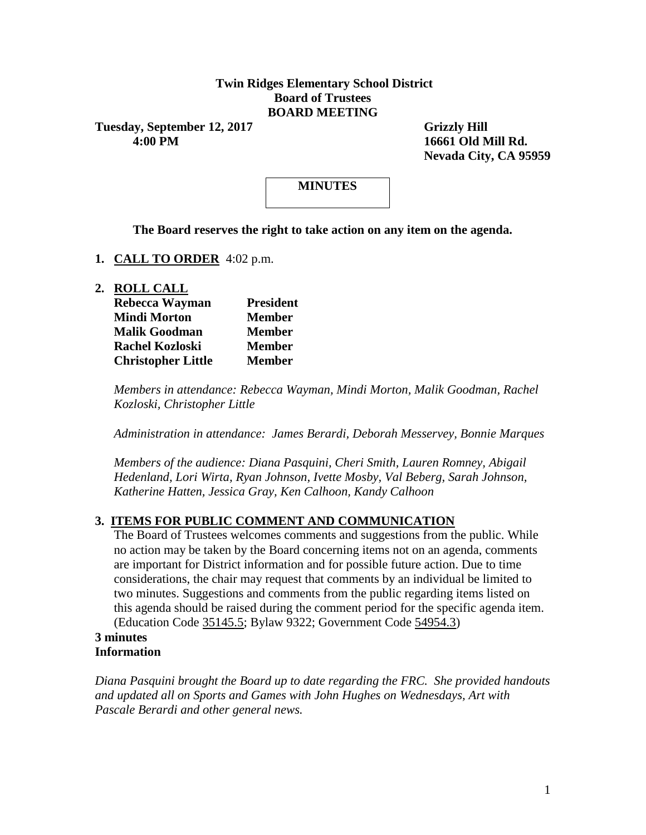### **Twin Ridges Elementary School District Board of Trustees BOARD MEETING**

Tuesday, September 12, 2017 Grizzly Hill  **4:00 PM 16661 Old Mill Rd.**

 **Nevada City, CA 95959**

# **MINUTES**

**The Board reserves the right to take action on any item on the agenda.**

**1. CALL TO ORDER** 4:02 p.m.

**2. ROLL CALL**

| Rebecca Wayman            | <b>President</b> |  |  |  |
|---------------------------|------------------|--|--|--|
| <b>Mindi Morton</b>       | <b>Member</b>    |  |  |  |
| <b>Malik Goodman</b>      | <b>Member</b>    |  |  |  |
| <b>Rachel Kozloski</b>    | <b>Member</b>    |  |  |  |
| <b>Christopher Little</b> | <b>Member</b>    |  |  |  |

*Members in attendance: Rebecca Wayman, Mindi Morton, Malik Goodman, Rachel Kozloski, Christopher Little*

*Administration in attendance: James Berardi, Deborah Messervey, Bonnie Marques*

*Members of the audience: Diana Pasquini, Cheri Smith, Lauren Romney, Abigail Hedenland, Lori Wirta, Ryan Johnson, Ivette Mosby, Val Beberg, Sarah Johnson, Katherine Hatten, Jessica Gray, Ken Calhoon, Kandy Calhoon*

#### **3. ITEMS FOR PUBLIC COMMENT AND COMMUNICATION**

The Board of Trustees welcomes comments and suggestions from the public. While no action may be taken by the Board concerning items not on an agenda, comments are important for District information and for possible future action. Due to time considerations, the chair may request that comments by an individual be limited to two minutes. Suggestions and comments from the public regarding items listed on this agenda should be raised during the comment period for the specific agenda item. (Education Code 35145.5; Bylaw 9322; Government Code 54954.3)

#### **3 minutes Information**

*Diana Pasquini brought the Board up to date regarding the FRC. She provided handouts and updated all on Sports and Games with John Hughes on Wednesdays, Art with Pascale Berardi and other general news.*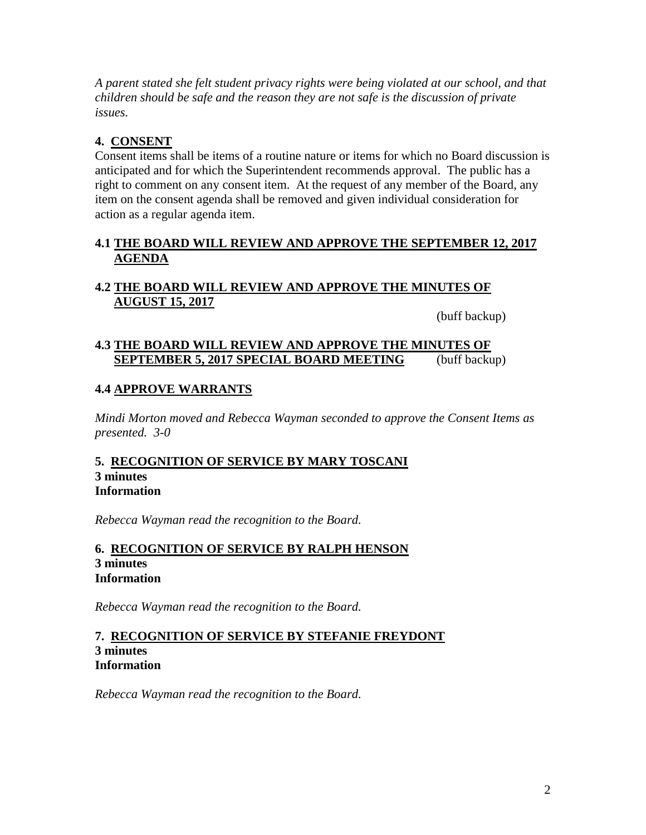*A parent stated she felt student privacy rights were being violated at our school, and that children should be safe and the reason they are not safe is the discussion of private issues.*

## **4. CONSENT**

Consent items shall be items of a routine nature or items for which no Board discussion is anticipated and for which the Superintendent recommends approval. The public has a right to comment on any consent item. At the request of any member of the Board, any item on the consent agenda shall be removed and given individual consideration for action as a regular agenda item.

## **4.1 THE BOARD WILL REVIEW AND APPROVE THE SEPTEMBER 12, 2017 AGENDA**

# **4.2 THE BOARD WILL REVIEW AND APPROVE THE MINUTES OF AUGUST 15, 2017**

(buff backup)

## **4.3 THE BOARD WILL REVIEW AND APPROVE THE MINUTES OF SEPTEMBER 5, 2017 SPECIAL BOARD MEETING** (buff backup)

## **4.4 APPROVE WARRANTS**

*Mindi Morton moved and Rebecca Wayman seconded to approve the Consent Items as presented. 3-0*

#### **5. RECOGNITION OF SERVICE BY MARY TOSCANI 3 minutes Information**

*Rebecca Wayman read the recognition to the Board.*

### **6. RECOGNITION OF SERVICE BY RALPH HENSON 3 minutes Information**

*Rebecca Wayman read the recognition to the Board.*

#### **7. RECOGNITION OF SERVICE BY STEFANIE FREYDONT 3 minutes Information**

*Rebecca Wayman read the recognition to the Board.*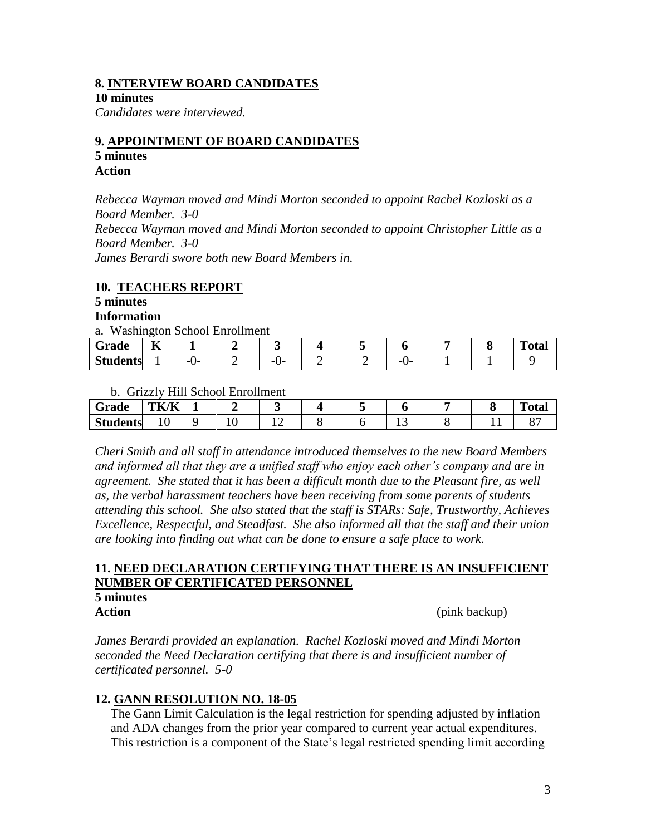#### **8. INTERVIEW BOARD CANDIDATES**

**10 minutes**

*Candidates were interviewed.*

#### **9. APPOINTMENT OF BOARD CANDIDATES 5 minutes**

# **Action**

*Rebecca Wayman moved and Mindi Morton seconded to appoint Rachel Kozloski as a Board Member. 3-0 Rebecca Wayman moved and Mindi Morton seconded to appoint Christopher Little as a Board Member. 3-0 James Berardi swore both new Board Members in.*

## **10. TEACHERS REPORT**

#### **5 minutes Information**

a. Washington School Enrollment

| Grade                         | --<br>n |  |          |   |          |  | $\mathbf{L}$<br>'otal |
|-------------------------------|---------|--|----------|---|----------|--|-----------------------|
| $\sim$<br>$C_{4}$<br>Students |         |  | --<br>-- | - | -<br>. . |  |                       |

b. Grizzly Hill School Enrollment

| $\sim$<br>Grade | <b>TK/K</b>         |     |  |     |  | m<br>∙ula. |
|-----------------|---------------------|-----|--|-----|--|------------|
| <b>Students</b> | $\cdot$<br><b>.</b> | ⊥ ∪ |  | ⊥ ~ |  |            |

*Cheri Smith and all staff in attendance introduced themselves to the new Board Members and informed all that they are a unified staff who enjoy each other's company and are in agreement. She stated that it has been a difficult month due to the Pleasant fire, as well as, the verbal harassment teachers have been receiving from some parents of students attending this school. She also stated that the staff is STARs: Safe, Trustworthy, Achieves Excellence, Respectful, and Steadfast. She also informed all that the staff and their union are looking into finding out what can be done to ensure a safe place to work.*

## **11. NEED DECLARATION CERTIFYING THAT THERE IS AN INSUFFICIENT NUMBER OF CERTIFICATED PERSONNEL**

# **5 minutes**

**Action** (pink backup)

*James Berardi provided an explanation. Rachel Kozloski moved and Mindi Morton seconded the Need Declaration certifying that there is and insufficient number of certificated personnel. 5-0*

## **12. GANN RESOLUTION NO. 18-05**

 The Gann Limit Calculation is the legal restriction for spending adjusted by inflation and ADA changes from the prior year compared to current year actual expenditures. This restriction is a component of the State's legal restricted spending limit according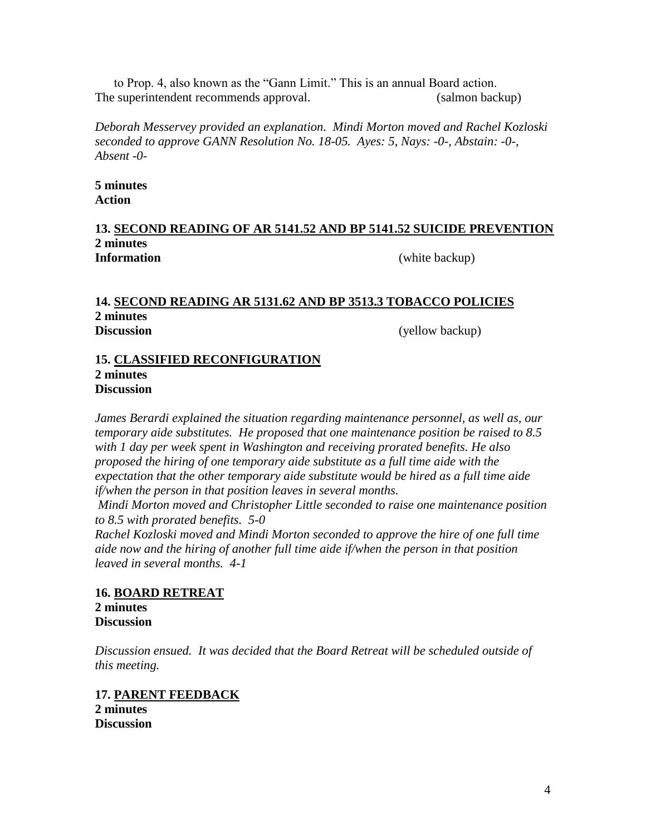to Prop. 4, also known as the "Gann Limit." This is an annual Board action. The superintendent recommends approval. (salmon backup)

*Deborah Messervey provided an explanation. Mindi Morton moved and Rachel Kozloski seconded to approve GANN Resolution No. 18-05. Ayes: 5, Nays: -0-, Abstain: -0-, Absent -0-*

**5 minutes Action**

#### **13. SECOND READING OF AR 5141.52 AND BP 5141.52 SUICIDE PREVENTION 2 minutes Information** (white backup)

#### **14. SECOND READING AR 5131.62 AND BP 3513.3 TOBACCO POLICIES 2 minutes Discussion** (yellow backup)

#### **15. CLASSIFIED RECONFIGURATION 2 minutes Discussion**

*James Berardi explained the situation regarding maintenance personnel, as well as, our temporary aide substitutes. He proposed that one maintenance position be raised to 8.5 with 1 day per week spent in Washington and receiving prorated benefits. He also proposed the hiring of one temporary aide substitute as a full time aide with the expectation that the other temporary aide substitute would be hired as a full time aide if/when the person in that position leaves in several months.*

*Mindi Morton moved and Christopher Little seconded to raise one maintenance position to 8.5 with prorated benefits. 5-0* 

*Rachel Kozloski moved and Mindi Morton seconded to approve the hire of one full time aide now and the hiring of another full time aide if/when the person in that position leaved in several months. 4-1*

**16. BOARD RETREAT 2 minutes Discussion**

*Discussion ensued. It was decided that the Board Retreat will be scheduled outside of this meeting.*

**17. PARENT FEEDBACK 2 minutes Discussion**